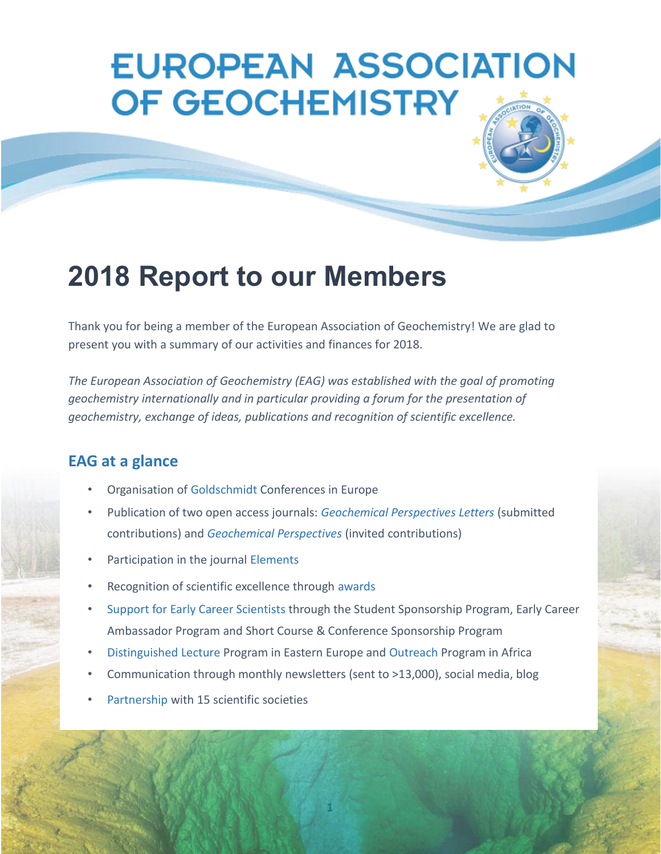# **EUROPEAN ASSOCIATION** OF GEOCHEMISTRY

## **2018 Report to our Members**

Thank you for being a member of the European Association of Geochemistry! We are glad to present you with a summary of our activities and finances for 2018.

*The European Association of Geochemistry (EAG) was established with the goal of promoting geochemistry internationally and in particular providing a forum for the presentation of geochemistry, exchange of ideas, publications and recognition of scientific excellence.*

#### **EAG at a glance**

- Organisation of Goldschmidt Conferences in Europe
- Publication of two open access journals: *Geochemical Perspectives Letters* (submitted contributions) and *Geochemical Perspectives* (invited contributions)
- Participation in the journal Elements
- Recognition of scientific excellence through awards
- Support for Early Career Scientists through the Student Sponsorship Program, Early Career Ambassador Program and Short Course & Conference Sponsorship Program
- Distinguished Lecture Program in Eastern Europe and Outreach Program in Africa
- Communication through monthly newsletters (sent to >13,000), social media, blog
- Partnership with 15 scientific societies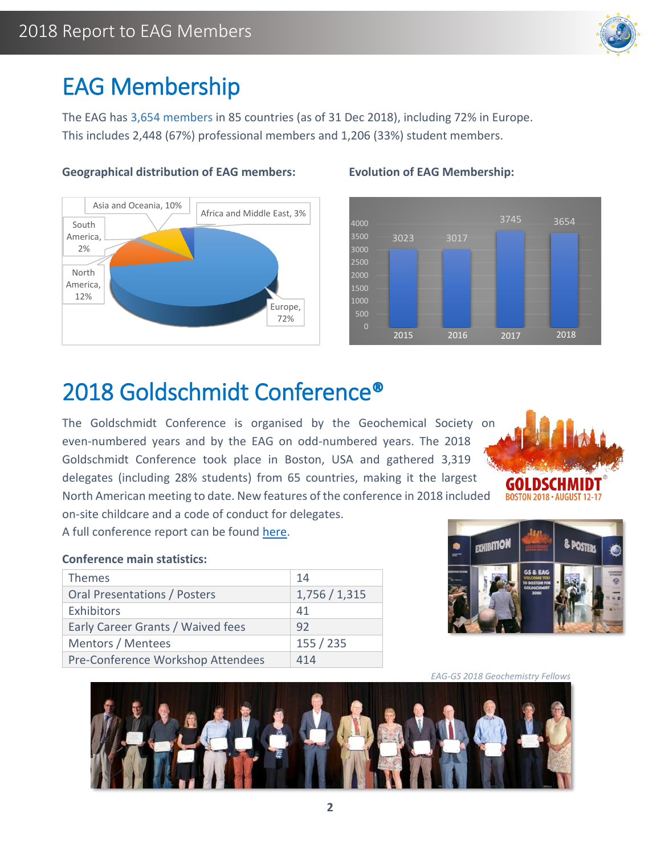

### EAG Membership

The EAG has 3,654 members in 85 countries (as of 31 Dec 2018), including 72% in Europe. This includes 2,448 (67%) professional members and 1,206 (33%) student members.



#### **Geographical distribution of EAG members: Evolution of EAG Membership:**



### 2018 Goldschmidt Conference®

The Goldschmidt Conference is organised by the Geochemical Society on even-numbered years and by the EAG on odd-numbered years. The 2018 Goldschmidt Conference took place in Boston, USA and gathered 3,319 delegates (including 28% students) from 65 countries, making it the largest

North American meeting to date. New features of the conference in 2018 included on-site childcare and a code of conduct for delegates.

A full conference report can be found [here.](http://www.elementsmagazine.org/archives/e14_5/e14_5_dep_meetingreport.pdf)

#### **Conference main statistics:**

| <b>Themes</b>                       | 14          |
|-------------------------------------|-------------|
| <b>Oral Presentations / Posters</b> | 1,756/1,315 |
| Exhibitors                          | 41          |
| Early Career Grants / Waived fees   | 92          |
| Mentors / Mentees                   | 155 / 235   |
| Pre-Conference Workshop Attendees   | 414         |





*EAG-GS 2018 Geochemistry Fellows*

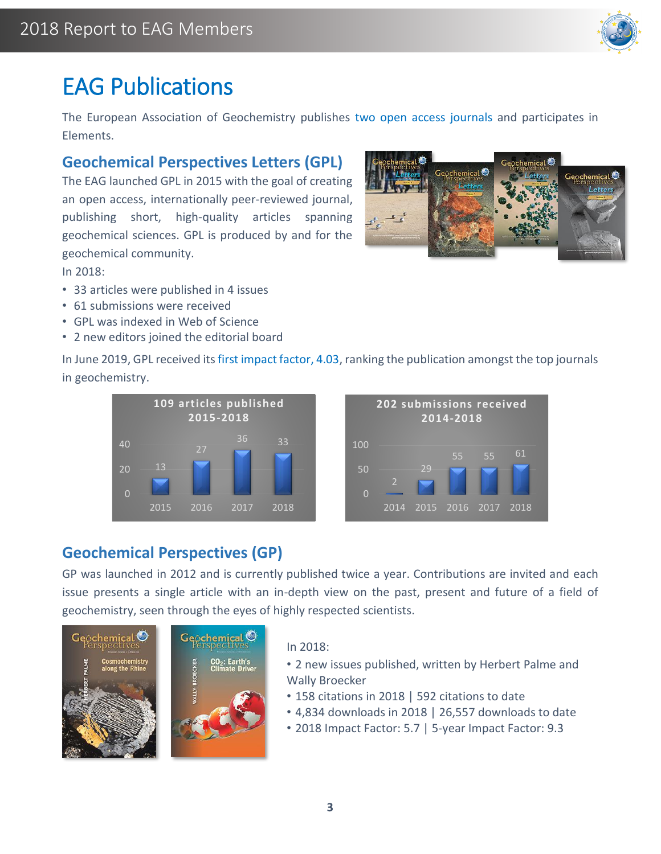

### EAG Publications

The European Association of Geochemistry publishes two open access journals and participates in Elements.

#### **Geochemical Perspectives Letters (GPL)**

The EAG launched GPL in 2015 with the goal of creating an open access, internationally peer-reviewed journal, publishing short, high-quality articles spanning geochemical sciences. GPL is produced by and for the geochemical community.

In 2018:

- 33 articles were published in 4 issues
- 61 submissions were received
- GPL was indexed in Web of Science
- 2 new editors joined the editorial board

In June 2019, GPL received its first impact factor, 4.03, ranking the publication amongst the top journals in geochemistry.





### **Geochemical Perspectives (GP)**

GP was launched in 2012 and is currently published twice a year. Contributions are invited and each issue presents a single article with an in-depth view on the past, present and future of a field of geochemistry, seen through the eyes of highly respected scientists.



#### In 2018:

- 2 new issues published, written by Herbert Palme and Wally Broecker
- 158 citations in 2018 | 592 citations to date
- 4,834 downloads in 2018 | 26,557 downloads to date
- 2018 Impact Factor: 5.7 | 5-year Impact Factor: 9.3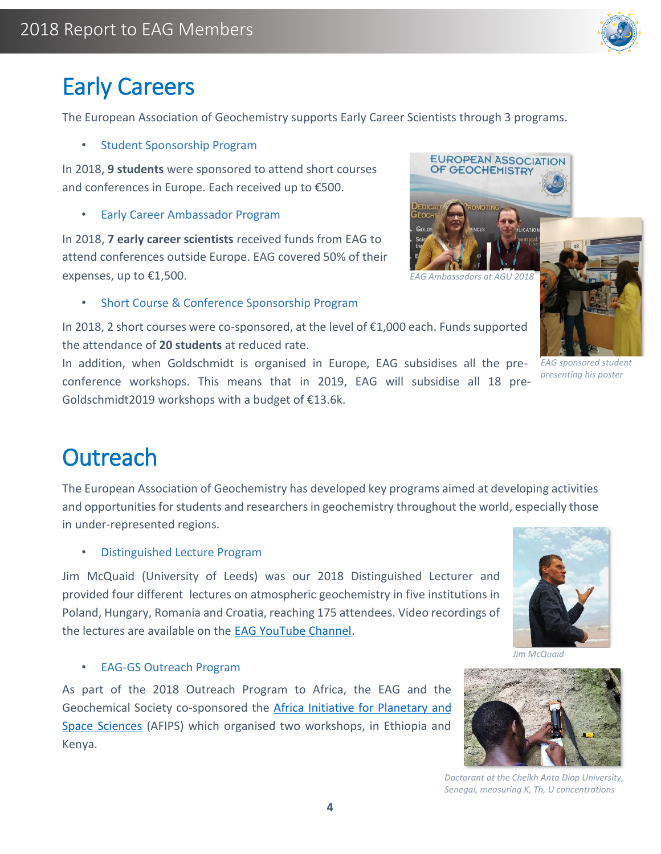

### Early Careers

The European Association of Geochemistry supports Early Career Scientists through 3 programs.

• Student Sponsorship Program

In 2018, **9 students** were sponsored to attend short courses and conferences in Europe. Each received up to €500.

• Early Career Ambassador Program

In 2018, **7 early career scientists** received funds from EAG to attend conferences outside Europe. EAG covered 50% of their expenses, up to €1,500.

*EAG Ambassadors at AGU 2018*

**EUROPEAN ASSOCIATION** OF GEOCHEMISTRY

• Short Course & Conference Sponsorship Program

In 2018, 2 short courses were co-sponsored, at the level of €1,000 each. Funds supported the attendance of **20 students** at reduced rate.

In addition, when Goldschmidt is organised in Europe, EAG subsidises all the preconference workshops. This means that in 2019, EAG will subsidise all 18 pre-Goldschmidt2019 workshops with a budget of €13.6k.

### **Outreach**

The European Association of Geochemistry has developed key programs aimed at developing activities and opportunities for students and researchers in geochemistry throughout the world, especially those in under-represented regions.

• Distinguished Lecture Program

Jim McQuaid (University of Leeds) was our 2018 Distinguished Lecturer and provided four different lectures on atmospheric geochemistry in five institutions in Poland, Hungary, Romania and Croatia, reaching 175 attendees. Video recordings of the lectures are available on the [EAG YouTube Channel.](http://www.youtube.com/user/EAGOffice#p/u)

*Jim McQuaid*

• EAG-GS Outreach Program

As part of the 2018 Outreach Program to Africa, the EAG and the Geochemical Society co-sponsored the [Africa Initiative for Planetary and](https://africapss.org/)  [Space Sciences](https://africapss.org/) (AFIPS) which organised two workshops, in Ethiopia and Kenya.



*Doctorant at the Cheikh Anta Diop University, Senegal, measuring K, Th, U concentrations*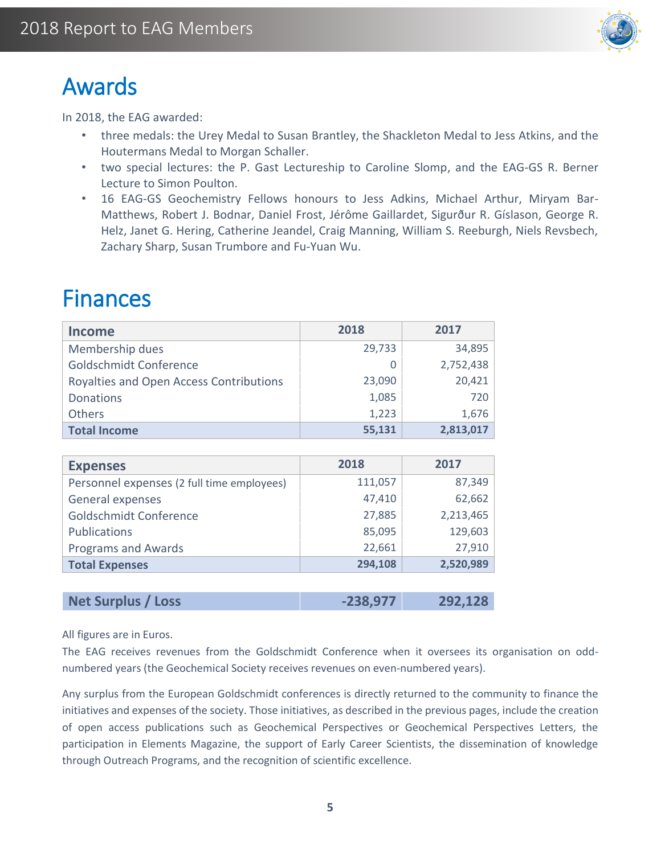

### Awards

l

In 2018, the EAG awarded:

- three medals: the Urey Medal to Susan Brantley, the Shackleton Medal to Jess Atkins, and the Houtermans Medal to Morgan Schaller.
- two special lectures: the P. Gast Lectureship to Caroline Slomp, and the EAG-GS R. Berner Lecture to Simon Poulton.
- 16 EAG-GS Geochemistry Fellows honours to Jess Adkins, Michael Arthur, Miryam Bar-Matthews, Robert J. Bodnar, Daniel Frost, Jérôme Gaillardet, Sigurður R. Gíslason, George R. Helz, Janet G. Hering, Catherine Jeandel, Craig Manning, William S. Reeburgh, Niels Revsbech, Zachary Sharp, Susan Trumbore and Fu-Yuan Wu.

### Finances

| <b>Income</b>                           | 2018   | 2017      |
|-----------------------------------------|--------|-----------|
| Membership dues                         | 29,733 | 34,895    |
| Goldschmidt Conference                  |        | 2,752,438 |
| Royalties and Open Access Contributions | 23,090 | 20,421    |
| <b>Donations</b>                        | 1,085  | 720       |
| Others                                  | 1,223  | 1,676     |
| <b>Total Income</b>                     | 55,131 | 2,813,017 |

| <b>Expenses</b>                            | 2018    | 2017      |
|--------------------------------------------|---------|-----------|
| Personnel expenses (2 full time employees) | 111,057 | 87,349    |
| General expenses                           | 47,410  | 62,662    |
| Goldschmidt Conference                     | 27,885  | 2,213,465 |
| <b>Publications</b>                        | 85,095  | 129,603   |
| <b>Programs and Awards</b>                 | 22,661  | 27,910    |
| <b>Total Expenses</b>                      | 294,108 | 2,520,989 |
|                                            |         |           |

**Net Surplus / Loss -238,977 292,128**

All figures are in Euros.

The EAG receives revenues from the Goldschmidt Conference when it oversees its organisation on oddnumbered years (the Geochemical Society receives revenues on even-numbered years).

Any surplus from the European Goldschmidt conferences is directly returned to the community to finance the initiatives and expenses of the society. Those initiatives, as described in the previous pages, include the creation of open access publications such as Geochemical Perspectives or Geochemical Perspectives Letters, the participation in Elements Magazine, the support of Early Career Scientists, the dissemination of knowledge through Outreach Programs, and the recognition of scientific excellence.